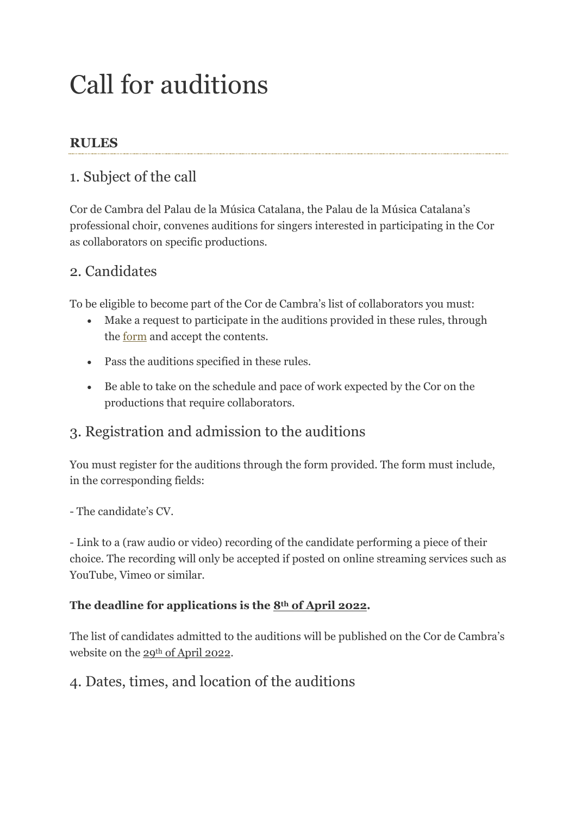# Call for auditions

### **RULES**

## 1. Subject of the call

Cor de Cambra del Palau de la Música Catalana, the Palau de la Música Catalana's professional choir, convenes auditions for singers interested in participating in the Cor as collaborators on specific productions.

# 2. Candidates

To be eligible to become part of the Cor de Cambra's list of collaborators you must:

- Make a request to participate in the auditions provided in these rules, through the [form](https://www.palaumusica.cat/ca/316471) and accept the contents.
- Pass the auditions specified in these rules.
- Be able to take on the schedule and pace of work expected by the Cor on the productions that require collaborators.

## 3. Registration and admission to the auditions

You must register for the auditions through the form provided. The form must include, in the corresponding fields:

- The candidate's CV.

- Link to a (raw audio or video) recording of the candidate performing a piece of their choice. The recording will only be accepted if posted on online streaming services such as YouTube, Vimeo or similar.

#### **The deadline for applications is the 8th of April 2022.**

The list of candidates admitted to the auditions will be published on the Cor de Cambra's website on the 29<sup>th</sup> of April 2022.

#### 4. Dates, times, and location of the auditions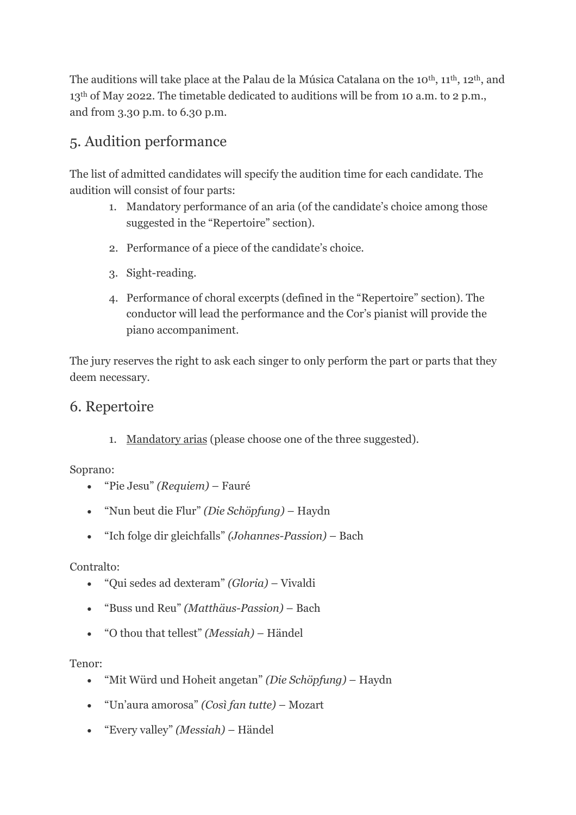The auditions will take place at the Palau de la Música Catalana on the 10<sup>th</sup>, 11<sup>th</sup>, 12<sup>th</sup>, and 13<sup>th</sup> of May 2022. The timetable dedicated to auditions will be from 10 a.m. to 2 p.m., and from 3.30 p.m. to 6.30 p.m.

# 5. Audition performance

The list of admitted candidates will specify the audition time for each candidate. The audition will consist of four parts:

- 1. Mandatory performance of an aria (of the candidate's choice among those suggested in the "Repertoire" section).
- 2. Performance of a piece of the candidate's choice.
- 3. Sight-reading.
- 4. Performance of choral excerpts (defined in the "Repertoire" section). The conductor will lead the performance and the Cor's pianist will provide the piano accompaniment.

The jury reserves the right to ask each singer to only perform the part or parts that they deem necessary.

## 6. Repertoire

1. Mandatory arias (please choose one of the three suggested).

Soprano:

- "Pie Jesu" *(Requiem)* Fauré
- "Nun beut die Flur" *(Die Schöpfung)* Haydn
- "Ich folge dir gleichfalls" *(Johannes-Passion)* Bach

#### Contralto:

- "Qui sedes ad dexteram" *(Gloria)* Vivaldi
- "Buss und Reu" *(Matthäus-Passion)* Bach
- "O thou that tellest" *(Messiah)* Händel

#### Tenor:

- "Mit Würd und Hoheit angetan" *(Die Schöpfung)* Haydn
- "Un'aura amorosa" *(Così fan tutte)* Mozart
- "Every valley" *(Messiah)* Händel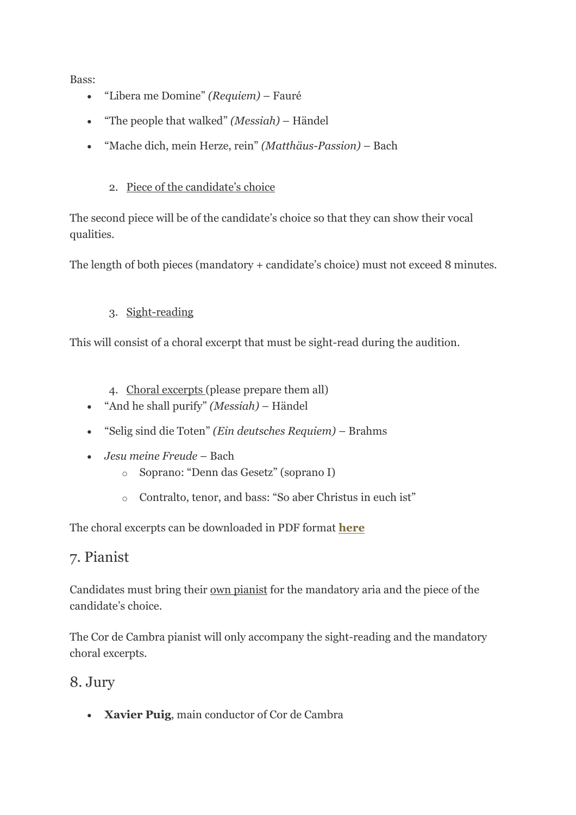Bass:

- "Libera me Domine" *(Requiem)* Fauré
- "The people that walked" *(Messiah)* Händel
- "Mache dich, mein Herze, rein" *(Matthäus-Passion)* Bach

#### 2. Piece of the candidate's choice

The second piece will be of the candidate's choice so that they can show their vocal qualities.

The length of both pieces (mandatory + candidate's choice) must not exceed 8 minutes.

#### 3. Sight-reading

This will consist of a choral excerpt that must be sight-read during the audition.

4. Choral excerpts (please prepare them all)

- "And he shall purify" *(Messiah)* Händel
- "Selig sind die Toten" *(Ein deutsches Requiem)* Brahms
- *Jesu meine Freude* Bach
	- o Soprano: "Denn das Gesetz" (soprano I)
	- o Contralto, tenor, and bass: "So aber Christus in euch ist"

The choral excerpts can be downloaded in PDF format **[here](https://www.palaumusica.cat/988404)**

## 7. Pianist

Candidates must bring their own pianist for the mandatory aria and the piece of the candidate's choice.

The Cor de Cambra pianist will only accompany the sight-reading and the mandatory choral excerpts.

#### 8. Jury

**Xavier Puig**, main conductor of Cor de Cambra